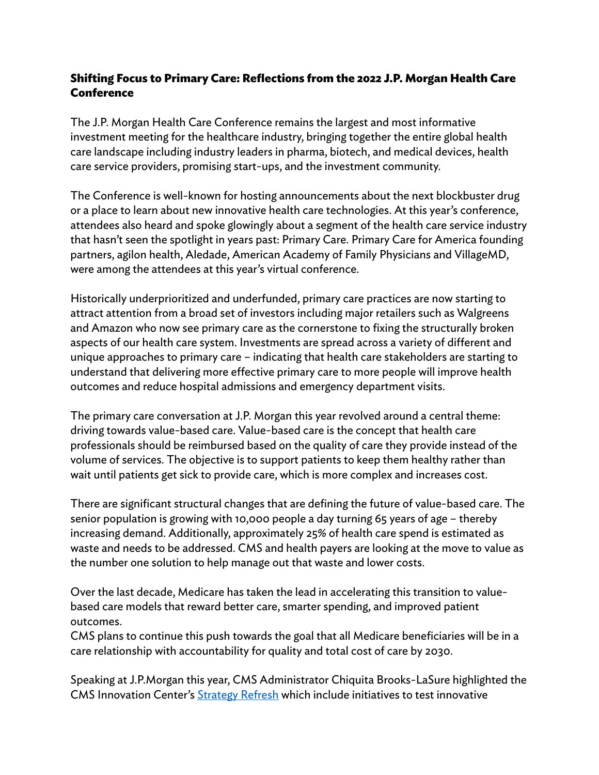## **Shifting Focus to Primary Care: Reflections from the 2022 J.P. Morgan Health Care Conference**

The J.P. Morgan Health Care Conference remains the largest and most informative investment meeting for the healthcare industry, bringing together the entire global health care landscape including industry leaders in pharma, biotech, and medical devices, health care service providers, promising start-ups, and the investment community.

The Conference is well-known for hosting announcements about the next blockbuster drug or a place to learn about new innovative health care technologies. At this year's conference, attendees also heard and spoke glowingly about a segment of the health care service industry that hasn't seen the spotlight in years past: Primary Care. Primary Care for America founding partners, agilon health, Aledade, American Academy of Family Physicians and VillageMD, were among the attendees at this year's virtual conference.

Historically underprioritized and underfunded, primary care practices are now starting to attract attention from a broad set of investors including major retailers such as Walgreens and Amazon who now see primary care as the cornerstone to fixing the structurally broken aspects of our health care system. Investments are spread across a variety of different and unique approaches to primary care – indicating that health care stakeholders are starting to understand that delivering more effective primary care to more people will improve health outcomes and reduce hospital admissions and emergency department visits.

The primary care conversation at J.P. Morgan this year revolved around a central theme: driving towards value-based care. Value-based care is the concept that health care professionals should be reimbursed based on the quality of care they provide instead of the volume of services. The objective is to support patients to keep them healthy rather than wait until patients get sick to provide care, which is more complex and increases cost.

There are significant structural changes that are defining the future of value-based care. The senior population is growing with 10,000 people a day turning 65 years of age – thereby increasing demand. Additionally, approximately 25% of health care spend is estimated as waste and needs to be addressed. CMS and health payers are looking at the move to value as the number one solution to help manage out that waste and lower costs.

Over the last decade, Medicare has taken the lead in accelerating this transition to valuebased care models that reward better care, smarter spending, and improved patient outcomes.

CMS plans to continue this push towards the goal that all Medicare beneficiaries will be in a care relationship with accountability for quality and total cost of care by 2030.

Speaking at J.P.Morgan this year, CMS Administrator Chiquita Brooks-LaSure highlighted the CMS Innovation Center's [Strategy Refresh](https://innovation.cms.gov/strategic-direction) which include initiatives to test innovative